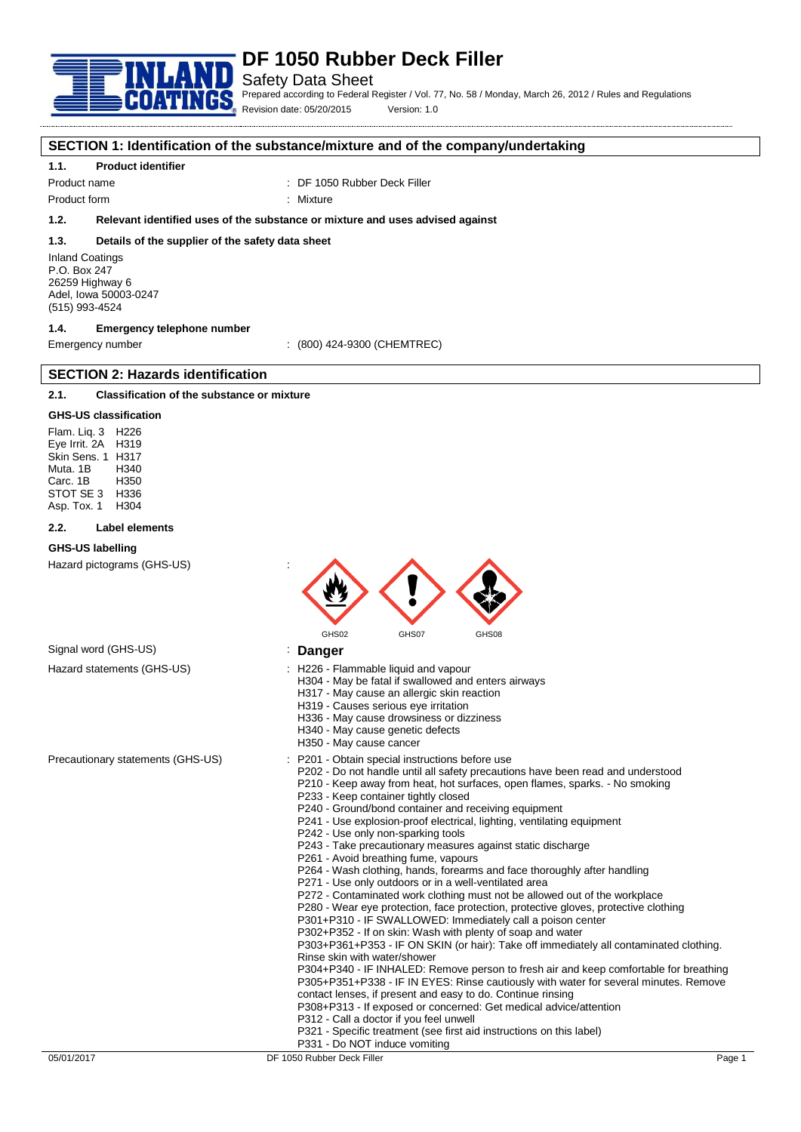

# Safety Data Sheet

Prepared according to Federal Register / Vol. 77, No. 58 / Monday, March 26, 2012 / Rules and Regulations Revision date: 05/20/2015 Version: 1.0

### **SECTION 1: Identification of the substance/mixture and of the company/undertaking**

### **1.1. Product identifier**

Product name : DF 1050 Rubber Deck Filler

Product form : Nixture

**1.2. Relevant identified uses of the substance or mixture and uses advised against**

### **1.3. Details of the supplier of the safety data sheet**

Inland Coatings P.O. Box 247 26259 Highway 6 Adel, Iowa 50003-0247 (515) 993-4524

# **1.4. Emergency telephone number**

**SECTION 2: Hazards identification**

Emergency number : (800) 424-9300 (CHEMTREC)

# **2.1. Classification of the substance or mixture**

#### **GHS-US classification**

Flam. Liq. 3 H226 Eye Irrit. 2A H319 Skin Sens. 1 H317 Muta. 1B H340 Carc. 1B STOT SE 3 H336<br>Asp Tox 1 H304 Asp. Tox. 1

#### **2.2. Label elements**

#### **GHS-US labelling**

Hazard pictograms (GHS-US) :



Signal word (GHS-US) **in the US** is **Danger** 

- Hazard statements (GHS-US) : H226 Flammable liquid and vapour
	- H304 May be fatal if swallowed and enters airways
		- H317 May cause an allergic skin reaction
		- H319 Causes serious eye irritation
		- H336 May cause drowsiness or dizziness
		- H340 May cause genetic defects
		- H350 May cause cancer
- Precautionary statements (GHS-US) : P201 Obtain special instructions before use
	- P202 Do not handle until all safety precautions have been read and understood
	- P210 Keep away from heat, hot surfaces, open flames, sparks. No smoking P233 - Keep container tightly closed
	- P240 Ground/bond container and receiving equipment
	- P241 Use explosion-proof electrical, lighting, ventilating equipment
	- P242 Use only non-sparking tools
	- P243 Take precautionary measures against static discharge
	- P261 Avoid breathing fume, vapours
	- P264 Wash clothing, hands, forearms and face thoroughly after handling
	- P271 Use only outdoors or in a well-ventilated area
	- P272 Contaminated work clothing must not be allowed out of the workplace
	- P280 Wear eye protection, face protection, protective gloves, protective clothing
	- P301+P310 IF SWALLOWED: Immediately call a poison center
	- P302+P352 If on skin: Wash with plenty of soap and water

P303+P361+P353 - IF ON SKIN (or hair): Take off immediately all contaminated clothing. Rinse skin with water/shower

P304+P340 - IF INHALED: Remove person to fresh air and keep comfortable for breathing P305+P351+P338 - IF IN EYES: Rinse cautiously with water for several minutes. Remove contact lenses, if present and easy to do. Continue rinsing

- P308+P313 If exposed or concerned: Get medical advice/attention
- P312 Call a doctor if you feel unwell
- P321 Specific treatment (see first aid instructions on this label)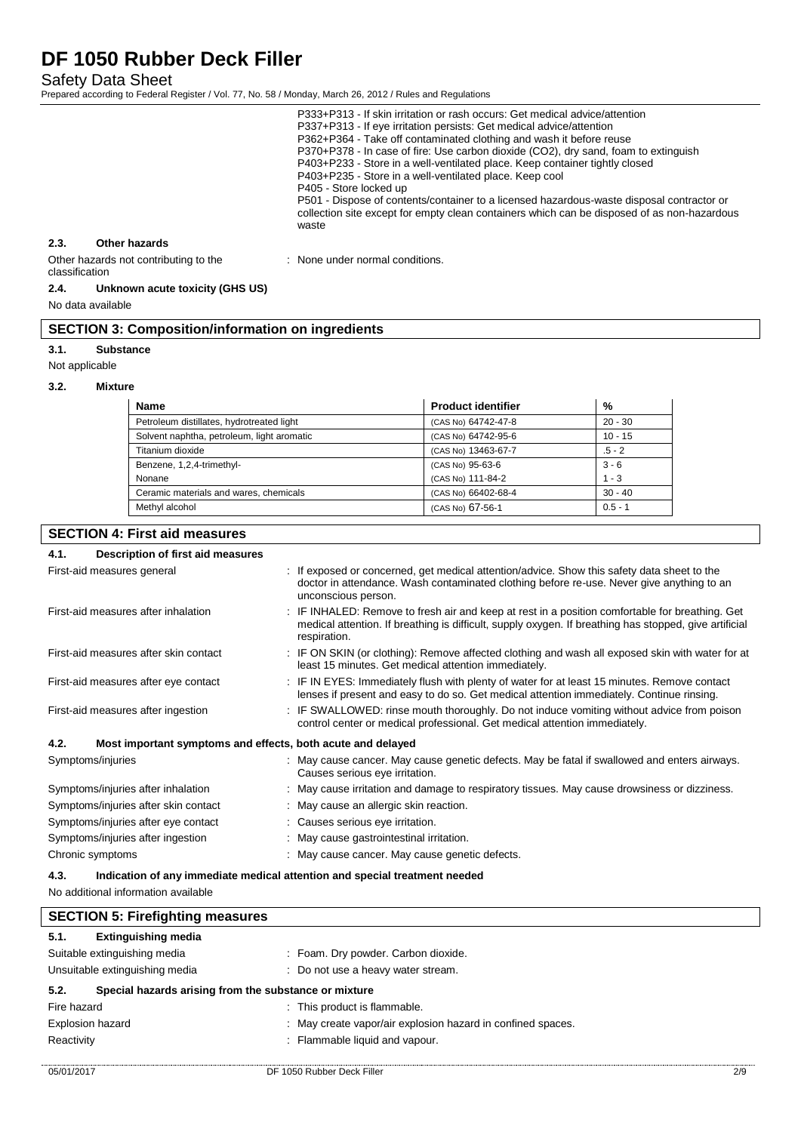Safety Data Sheet

Prepared according to Federal Register / Vol. 77, No. 58 / Monday, March 26, 2012 / Rules and Regulations

|      |                                       | P333+P313 - If skin irritation or rash occurs: Get medical advice/attention<br>P337+P313 - If eye irritation persists: Get medical advice/attention<br>P362+P364 - Take off contaminated clothing and wash it before reuse<br>P370+P378 - In case of fire: Use carbon dioxide (CO2), dry sand, foam to extinguish<br>P403+P233 - Store in a well-ventilated place. Keep container tightly closed<br>P403+P235 - Store in a well-ventilated place. Keep cool<br>P405 - Store locked up<br>P501 - Dispose of contents/container to a licensed hazardous-waste disposal contractor or<br>collection site except for empty clean containers which can be disposed of as non-hazardous<br>waste |
|------|---------------------------------------|--------------------------------------------------------------------------------------------------------------------------------------------------------------------------------------------------------------------------------------------------------------------------------------------------------------------------------------------------------------------------------------------------------------------------------------------------------------------------------------------------------------------------------------------------------------------------------------------------------------------------------------------------------------------------------------------|
| 2.3. | Other hazards                         |                                                                                                                                                                                                                                                                                                                                                                                                                                                                                                                                                                                                                                                                                            |
|      | Other hazards not contributing to the | : None under normal conditions.                                                                                                                                                                                                                                                                                                                                                                                                                                                                                                                                                                                                                                                            |

### Other hazards not contributing to the classification

# **2.4. Unknown acute toxicity (GHS US)**

No data available

# **SECTION 3: Composition/information on ingredients**

### **3.1. Substance**

Not applicable

### **3.2. Mixture**

| <b>Name</b>                                | <b>Product identifier</b> | %         |
|--------------------------------------------|---------------------------|-----------|
| Petroleum distillates, hydrotreated light  | (CAS No) 64742-47-8       | $20 - 30$ |
| Solvent naphtha, petroleum, light aromatic | (CAS No) 64742-95-6       | $10 - 15$ |
| Titanium dioxide                           | (CAS No) 13463-67-7       | $.5 - 2$  |
| Benzene, 1,2,4-trimethyl-                  | (CAS No) 95-63-6          | $3 - 6$   |
| Nonane                                     | (CAS No) 111-84-2         | $1 - 3$   |
| Ceramic materials and wares, chemicals     | (CAS No) 66402-68-4       | $30 - 40$ |
| Methyl alcohol                             | (CAS No) 67-56-1          | $0.5 - 1$ |

# **SECTION 4: First aid measures**

# **4.1. Description of first aid measures**

| .<br>Description of hist ald ineasures                              |                                                                                                                                                                                                                           |
|---------------------------------------------------------------------|---------------------------------------------------------------------------------------------------------------------------------------------------------------------------------------------------------------------------|
| First-aid measures general                                          | : If exposed or concerned, get medical attention/advice. Show this safety data sheet to the<br>doctor in attendance. Wash contaminated clothing before re-use. Never give anything to an<br>unconscious person.           |
| First-aid measures after inhalation                                 | : IF INHALED: Remove to fresh air and keep at rest in a position comfortable for breathing. Get<br>medical attention. If breathing is difficult, supply oxygen. If breathing has stopped, give artificial<br>respiration. |
| First-aid measures after skin contact                               | : IF ON SKIN (or clothing): Remove affected clothing and wash all exposed skin with water for at<br>least 15 minutes. Get medical attention immediately.                                                                  |
| First-aid measures after eye contact                                | : IF IN EYES: Immediately flush with plenty of water for at least 15 minutes. Remove contact<br>lenses if present and easy to do so. Get medical attention immediately. Continue rinsing.                                 |
| First-aid measures after ingestion                                  | : IF SWALLOWED: rinse mouth thoroughly. Do not induce vomiting without advice from poison<br>control center or medical professional. Get medical attention immediately.                                                   |
| 4.2.<br>Most important symptoms and effects, both acute and delayed |                                                                                                                                                                                                                           |
| Symptoms/injuries                                                   | : May cause cancer. May cause genetic defects. May be fatal if swallowed and enters airways.<br>Causes serious eye irritation.                                                                                            |
| Symptoms/injuries after inhalation                                  | : May cause irritation and damage to respiratory tissues. May cause drowsiness or dizziness.                                                                                                                              |
| Symptoms/injuries after skin contact                                | : May cause an allergic skin reaction.                                                                                                                                                                                    |
| Symptoms/injuries after eye contact                                 | : Causes serious eye irritation.                                                                                                                                                                                          |
| Symptoms/injuries after ingestion                                   | : May cause gastrointestinal irritation.                                                                                                                                                                                  |
| Chronic symptoms                                                    | May cause cancer. May cause genetic defects.                                                                                                                                                                              |

# **4.3. Indication of any immediate medical attention and special treatment needed**

No additional information available

| <b>SECTION 5: Firefighting measures</b> |                                                       |                                                             |     |
|-----------------------------------------|-------------------------------------------------------|-------------------------------------------------------------|-----|
| 5.1.                                    | <b>Extinguishing media</b>                            |                                                             |     |
|                                         | Suitable extinguishing media                          | : Foam. Dry powder. Carbon dioxide.                         |     |
| Unsuitable extinguishing media          |                                                       | : Do not use a heavy water stream.                          |     |
| 5.2.                                    | Special hazards arising from the substance or mixture |                                                             |     |
| Fire hazard                             |                                                       | : This product is flammable.                                |     |
| <b>Explosion hazard</b>                 |                                                       | : May create vapor/air explosion hazard in confined spaces. |     |
| Reactivity                              |                                                       | : Flammable liquid and vapour.                              |     |
| 05/01/2017                              |                                                       | DF 1050 Rubber Deck Filler                                  | 2/9 |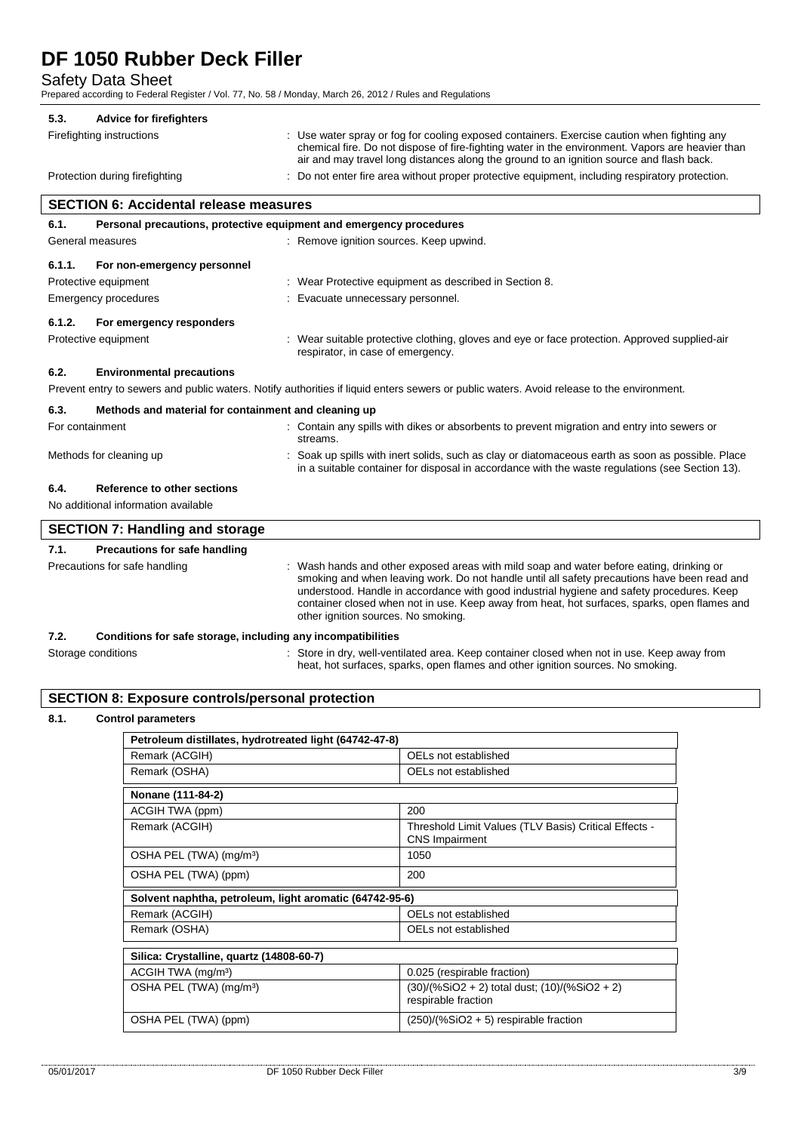Safety Data Sheet

Prepared according to Federal Register / Vol. 77, No. 58 / Monday, March 26, 2012 / Rules and Regulations

#### **5.3. Advice for firefighters**

Firefighting instructions : Use water spray or fog for cooling exposed containers. Exercise caution when fighting any chemical fire. Do not dispose of fire-fighting water in the environment. Vapors are heavier than

Protection during firefighting : Do not enter fire area without proper protective equipment, including respiratory protection.

air and may travel long distances along the ground to an ignition source and flash back.

# **SECTION 6: Accidental release measures 6.1. Personal precautions, protective equipment and emergency procedures** General measures **Secure 1** and  $\alpha$  is Remove ignition sources. Keep upwind. **6.1.1. For non-emergency personnel** Protective equipment : Wear Protective equipment as described in Section 8. Emergency procedures : Evacuate unnecessary personnel. **6.1.2. For emergency responders** Protective equipment **interval of the suitable protective clothing**, gloves and eye or face protection. Approved supplied-air respirator, in case of emergency. **6.2. Environmental precautions** Prevent entry to sewers and public waters. Notify authorities if liquid enters sewers or public waters. Avoid release to the environment. **6.3. Methods and material for containment and cleaning up** For containment **into the servent into servers** or contain any spills with dikes or absorbents to prevent migration and entry into sewers or streams. Methods for cleaning up **interpret in the spills** with inert solids, such as clay or diatomaceous earth as soon as possible. Place in a suitable container for disposal in accordance with the waste regulations (see Section 13).

# **6.4. Reference to other sections**

No additional information available

|                               | <b>SECTION 7: Handling and storage</b>                       |                                                                                                                                                                                                                                                                                                                                                                                                                            |  |
|-------------------------------|--------------------------------------------------------------|----------------------------------------------------------------------------------------------------------------------------------------------------------------------------------------------------------------------------------------------------------------------------------------------------------------------------------------------------------------------------------------------------------------------------|--|
| 7.1.                          | Precautions for safe handling                                |                                                                                                                                                                                                                                                                                                                                                                                                                            |  |
| Precautions for safe handling |                                                              | Wash hands and other exposed areas with mild soap and water before eating, drinking or<br>smoking and when leaving work. Do not handle until all safety precautions have been read and<br>understood. Handle in accordance with good industrial hygiene and safety procedures. Keep<br>container closed when not in use. Keep away from heat, hot surfaces, sparks, open flames and<br>other ignition sources. No smoking. |  |
| 7.2.                          | Conditions for safe storage, including any incompatibilities |                                                                                                                                                                                                                                                                                                                                                                                                                            |  |

heat, hot surfaces, sparks, open flames and other ignition sources. No smoking.

Storage conditions **in the state of the state of the state of the state of the state of the state of the state** S

### **SECTION 8: Exposure controls/personal protection**

# **8.1. Control parameters**

| Petroleum distillates, hydrotreated light (64742-47-8)  |                                                                                |  |
|---------------------------------------------------------|--------------------------------------------------------------------------------|--|
| Remark (ACGIH)                                          | OELs not established                                                           |  |
| Remark (OSHA)                                           | OELs not established                                                           |  |
| Nonane (111-84-2)                                       |                                                                                |  |
| ACGIH TWA (ppm)                                         | 200                                                                            |  |
| Remark (ACGIH)                                          | Threshold Limit Values (TLV Basis) Critical Effects -<br><b>CNS Impairment</b> |  |
| OSHA PEL (TWA) (mg/m <sup>3</sup> )                     | 1050                                                                           |  |
| OSHA PEL (TWA) (ppm)                                    | 200                                                                            |  |
| Solvent naphtha, petroleum, light aromatic (64742-95-6) |                                                                                |  |
| Remark (ACGIH)                                          | OELs not established                                                           |  |
| Remark (OSHA)                                           | OELs not established                                                           |  |
| Silica: Crystalline, quartz (14808-60-7)                |                                                                                |  |
| ACGIH TWA (mg/m <sup>3</sup> )                          | 0.025 (respirable fraction)                                                    |  |
| OSHA PEL (TWA) (mg/m <sup>3</sup> )                     | $(30)/(%SiO2 + 2)$ total dust; $(10)/(%SiO2 + 2)$<br>respirable fraction       |  |
| OSHA PEL (TWA) (ppm)                                    | $(250)/(%SiO2 + 5)$ respirable fraction                                        |  |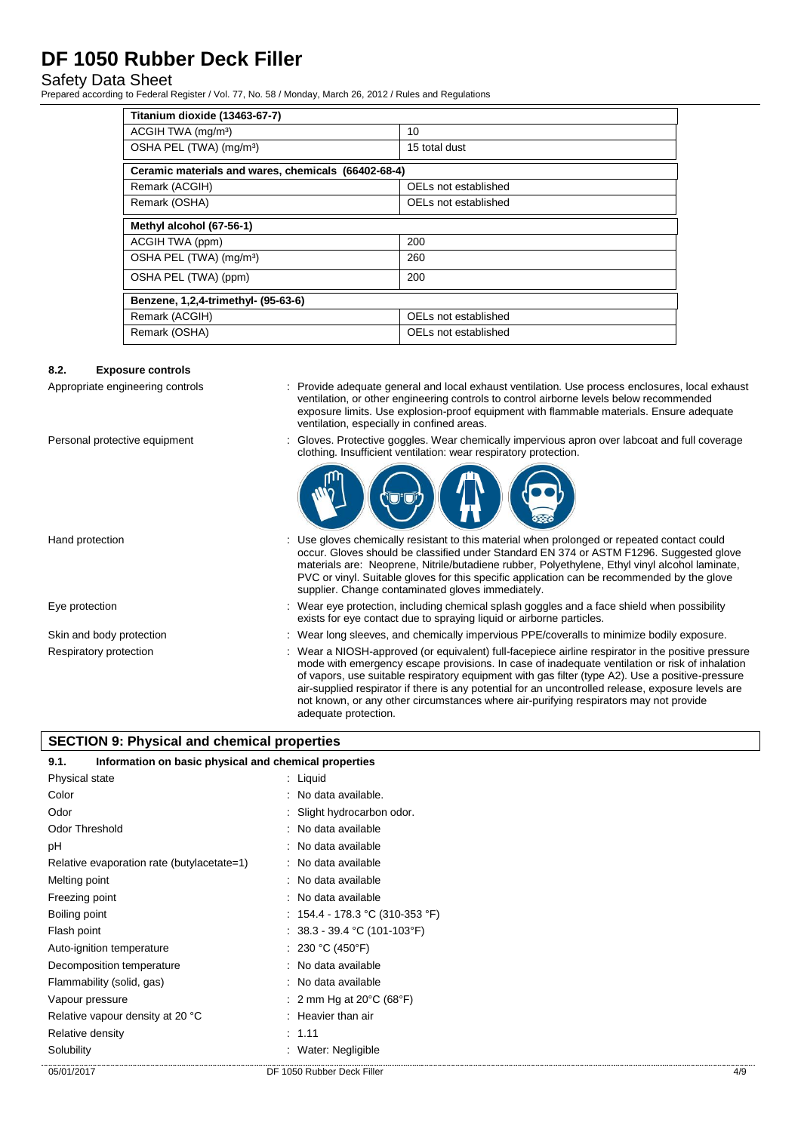# Safety Data Sheet

Prepared according to Federal Register / Vol. 77, No. 58 / Monday, March 26, 2012 / Rules and Regulations

| Titanium dioxide (13463-67-7)                       |                      |  |
|-----------------------------------------------------|----------------------|--|
| ACGIH TWA (mg/m <sup>3</sup> )                      | 10                   |  |
| OSHA PEL (TWA) (mg/m <sup>3</sup> )                 | 15 total dust        |  |
| Ceramic materials and wares, chemicals (66402-68-4) |                      |  |
| Remark (ACGIH)                                      | OELs not established |  |
| Remark (OSHA)                                       | OELs not established |  |
| Methyl alcohol (67-56-1)                            |                      |  |
| ACGIH TWA (ppm)                                     | 200                  |  |
| OSHA PEL (TWA) (mg/m <sup>3</sup> )                 | 260                  |  |
| OSHA PEL (TWA) (ppm)                                | 200                  |  |
| Benzene, 1,2,4-trimethyl- (95-63-6)                 |                      |  |
| Remark (ACGIH)                                      | OELs not established |  |
| Remark (OSHA)                                       | OELs not established |  |

### **8.2. Exposure controls**

- Appropriate engineering controls : Provide adequate general and local exhaust ventilation. Use process enclosures, local exhaust ventilation, or other engineering controls to control airborne levels below recommended exposure limits. Use explosion-proof equipment with flammable materials. Ensure adequate ventilation, especially in confined areas.
- Personal protective equipment : Gloves. Protective goggles. Wear chemically impervious apron over labcoat and full coverage clothing. Insufficient ventilation: wear respiratory protection.



Hand protection : Use gloves chemically resistant to this material when prolonged or repeated contact could occur. Gloves should be classified under Standard EN 374 or ASTM F1296. Suggested glove materials are: Neoprene, Nitrile/butadiene rubber, Polyethylene, Ethyl vinyl alcohol laminate, PVC or vinyl. Suitable gloves for this specific application can be recommended by the glove supplier. Change contaminated gloves immediately. Eye protection **including the state of the system** of the Wear eye protection, including chemical splash goggles and a face shield when possibility exists for eye contact due to spraying liquid or airborne particles. Skin and body protection : Wear long sleeves, and chemically impervious PPE/coveralls to minimize bodily exposure. Respiratory protection : Wear a NIOSH-approved (or equivalent) full-facepiece airline respirator in the positive pressure mode with emergency escape provisions. In case of inadequate ventilation or risk of inhalation of vapors, use suitable respiratory equipment with gas filter (type A2). Use a positive-pressure air-supplied respirator if there is any potential for an uncontrolled release, exposure levels are not known, or any other circumstances where air-purifying respirators may not provide

adequate protection.

# **SECTION 9: Physical and chemical properties**

| 9.1.                                       | Information on basic physical and chemical properties |     |
|--------------------------------------------|-------------------------------------------------------|-----|
| Physical state                             | $:$ Liquid                                            |     |
| Color                                      | : No data available.                                  |     |
| Odor                                       | : Slight hydrocarbon odor.                            |     |
| Odor Threshold                             | : No data available                                   |     |
| рH                                         | : No data available                                   |     |
| Relative evaporation rate (butylacetate=1) | : No data available                                   |     |
| Melting point                              | : No data available                                   |     |
| Freezing point                             | : No data available                                   |     |
| Boiling point                              | : 154.4 - 178.3 °C (310-353 °F)                       |     |
| Flash point                                | : $38.3 - 39.4$ °C (101-103°F)                        |     |
| Auto-ignition temperature                  | : 230 °C (450°F)                                      |     |
| Decomposition temperature                  | : No data available                                   |     |
| Flammability (solid, gas)                  | : No data available                                   |     |
| Vapour pressure                            | : 2 mm Hg at 20 $\degree$ C (68 $\degree$ F)          |     |
| Relative vapour density at 20 °C           | : Heavier than air                                    |     |
| Relative density                           | : 1.11                                                |     |
| Solubility                                 | : Water: Negligible                                   |     |
| 05/01/2017                                 | DF 1050 Rubber Deck Filler                            | 4/9 |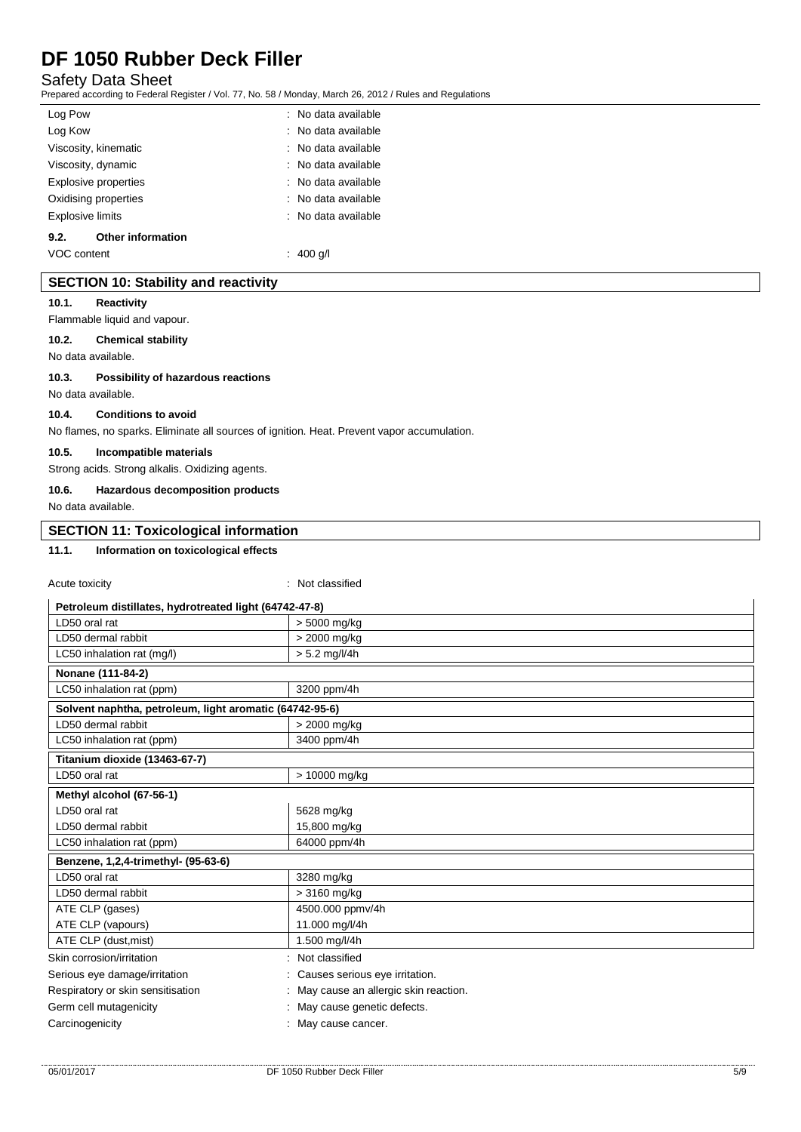# Safety Data Sheet

Prepared according to Federal Register / Vol. 77, No. 58 / Monday, March 26, 2012 / Rules and Regulations

| Log Pow                 |                          | : No data available |
|-------------------------|--------------------------|---------------------|
| Log Kow                 |                          | : No data available |
|                         | Viscosity, kinematic     | : No data available |
|                         | Viscosity, dynamic       | : No data available |
|                         | Explosive properties     | : No data available |
|                         | Oxidising properties     | : No data available |
| <b>Explosive limits</b> |                          | : No data available |
| 9.2.                    | <b>Other information</b> |                     |
| VOC content             |                          | : 400 a/l           |

# **SECTION 10: Stability and reactivity**

#### **10.1. Reactivity**

Flammable liquid and vapour.

#### **10.2. Chemical stability**

No data available.

### **10.3. Possibility of hazardous reactions**

No data available.

#### **10.4. Conditions to avoid**

No flames, no sparks. Eliminate all sources of ignition. Heat. Prevent vapor accumulation.

### **10.5. Incompatible materials**

Strong acids. Strong alkalis. Oxidizing agents.

#### **10.6. Hazardous decomposition products**

No data available.

# **SECTION 11: Toxicological information**

# **11.1. Information on toxicological effects**

Acute toxicity in the contract of the contract of the contract of the contract of the contract of the contract of the contract of the contract of the contract of the contract of the contract of the contract of the contract

| Petroleum distillates, hydrotreated light (64742-47-8)  |                                      |  |
|---------------------------------------------------------|--------------------------------------|--|
| LD50 oral rat                                           | > 5000 mg/kg                         |  |
| LD50 dermal rabbit                                      | > 2000 mg/kg                         |  |
| LC50 inhalation rat (mg/l)                              | $> 5.2$ mg/l/4h                      |  |
| Nonane (111-84-2)                                       |                                      |  |
| LC50 inhalation rat (ppm)                               | 3200 ppm/4h                          |  |
| Solvent naphtha, petroleum, light aromatic (64742-95-6) |                                      |  |
| LD50 dermal rabbit                                      | > 2000 mg/kg                         |  |
| LC50 inhalation rat (ppm)                               | 3400 ppm/4h                          |  |
| Titanium dioxide (13463-67-7)                           |                                      |  |
| LD50 oral rat                                           | > 10000 mg/kg                        |  |
| Methyl alcohol (67-56-1)                                |                                      |  |
| LD50 oral rat                                           | 5628 mg/kg                           |  |
| LD50 dermal rabbit                                      | 15,800 mg/kg                         |  |
| LC50 inhalation rat (ppm)                               | 64000 ppm/4h                         |  |
| Benzene, 1,2,4-trimethyl- (95-63-6)                     |                                      |  |
| LD50 oral rat                                           | 3280 mg/kg                           |  |
| LD50 dermal rabbit                                      | > 3160 mg/kg                         |  |
| ATE CLP (gases)                                         | 4500.000 ppmv/4h                     |  |
| ATE CLP (vapours)                                       | 11.000 mg/l/4h                       |  |
| ATE CLP (dust, mist)                                    | 1.500 mg/l/4h                        |  |
| Skin corrosion/irritation                               | Not classified                       |  |
| Serious eye damage/irritation                           | Causes serious eye irritation.       |  |
| Respiratory or skin sensitisation                       | May cause an allergic skin reaction. |  |
| Germ cell mutagenicity                                  | May cause genetic defects.           |  |
| Carcinogenicity                                         | May cause cancer.                    |  |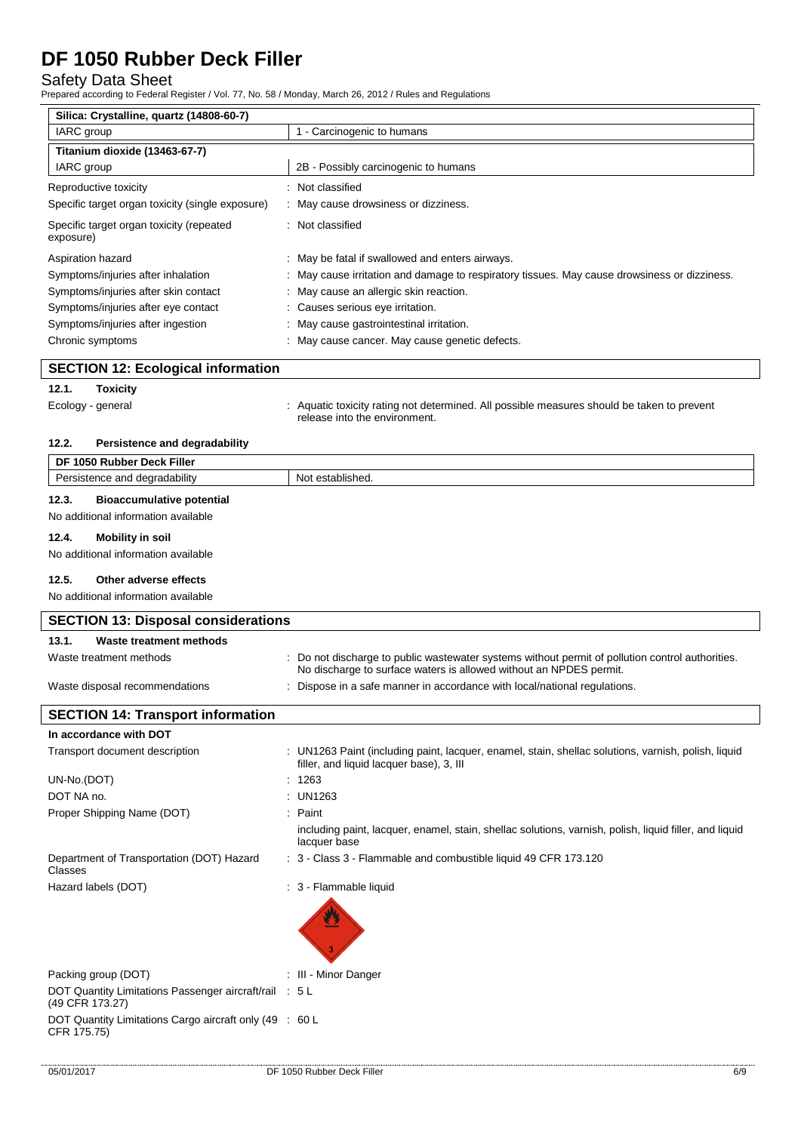# Safety Data Sheet

| Prepared according to Federal Register / Vol. 77, No. 58 / Monday, March 26, 2012 / Rules and Regulations              |                                                                                                                                                 |  |  |
|------------------------------------------------------------------------------------------------------------------------|-------------------------------------------------------------------------------------------------------------------------------------------------|--|--|
| Silica: Crystalline, quartz (14808-60-7)                                                                               |                                                                                                                                                 |  |  |
| IARC group                                                                                                             | 1 - Carcinogenic to humans                                                                                                                      |  |  |
| Titanium dioxide (13463-67-7)                                                                                          |                                                                                                                                                 |  |  |
| IARC group                                                                                                             | 2B - Possibly carcinogenic to humans                                                                                                            |  |  |
| Reproductive toxicity                                                                                                  | Not classified                                                                                                                                  |  |  |
| Specific target organ toxicity (single exposure)                                                                       | May cause drowsiness or dizziness.                                                                                                              |  |  |
| Specific target organ toxicity (repeated<br>exposure)                                                                  | Not classified                                                                                                                                  |  |  |
| Aspiration hazard                                                                                                      | May be fatal if swallowed and enters airways.                                                                                                   |  |  |
| Symptoms/injuries after inhalation                                                                                     | May cause irritation and damage to respiratory tissues. May cause drowsiness or dizziness.                                                      |  |  |
| Symptoms/injuries after skin contact                                                                                   | May cause an allergic skin reaction.                                                                                                            |  |  |
| Symptoms/injuries after eye contact                                                                                    | Causes serious eye irritation.                                                                                                                  |  |  |
| Symptoms/injuries after ingestion                                                                                      | May cause gastrointestinal irritation.                                                                                                          |  |  |
| Chronic symptoms                                                                                                       | May cause cancer. May cause genetic defects.                                                                                                    |  |  |
|                                                                                                                        |                                                                                                                                                 |  |  |
| <b>SECTION 12: Ecological information</b>                                                                              |                                                                                                                                                 |  |  |
| 12.1.<br><b>Toxicity</b>                                                                                               |                                                                                                                                                 |  |  |
| Ecology - general                                                                                                      | Aquatic toxicity rating not determined. All possible measures should be taken to prevent<br>release into the environment.                       |  |  |
| 12.2.<br>Persistence and degradability                                                                                 |                                                                                                                                                 |  |  |
| DF 1050 Rubber Deck Filler                                                                                             |                                                                                                                                                 |  |  |
| Persistence and degradability                                                                                          | Not established.                                                                                                                                |  |  |
| 12.3.<br><b>Bioaccumulative potential</b>                                                                              |                                                                                                                                                 |  |  |
| No additional information available                                                                                    |                                                                                                                                                 |  |  |
| 12.4.                                                                                                                  |                                                                                                                                                 |  |  |
| <b>Mobility in soil</b><br>No additional information available                                                         |                                                                                                                                                 |  |  |
|                                                                                                                        |                                                                                                                                                 |  |  |
| 12.5.<br>Other adverse effects                                                                                         |                                                                                                                                                 |  |  |
| No additional information available                                                                                    |                                                                                                                                                 |  |  |
| <b>SECTION 13: Disposal considerations</b>                                                                             |                                                                                                                                                 |  |  |
| 13.1.<br><b>Waste treatment methods</b>                                                                                |                                                                                                                                                 |  |  |
| Waste treatment methods                                                                                                | : Do not discharge to public wastewater systems without permit of pollution control authorities.                                                |  |  |
|                                                                                                                        | No discharge to surface waters is allowed without an NPDES permit.                                                                              |  |  |
| Waste disposal recommendations                                                                                         | Dispose in a safe manner in accordance with local/national regulations.                                                                         |  |  |
|                                                                                                                        |                                                                                                                                                 |  |  |
| <b>SECTION 14: Transport information</b>                                                                               |                                                                                                                                                 |  |  |
| In accordance with DOT                                                                                                 |                                                                                                                                                 |  |  |
| Transport document description                                                                                         | : UN1263 Paint (including paint, lacquer, enamel, stain, shellac solutions, varnish, polish, liquid<br>filler, and liquid lacquer base), 3, III |  |  |
| UN-No.(DOT)                                                                                                            | 1263                                                                                                                                            |  |  |
| DOT NA no.                                                                                                             | UN1263                                                                                                                                          |  |  |
| Proper Shipping Name (DOT)<br>Paint                                                                                    |                                                                                                                                                 |  |  |
| including paint, lacquer, enamel, stain, shellac solutions, varnish, polish, liquid filler, and liquid<br>lacquer base |                                                                                                                                                 |  |  |
| Department of Transportation (DOT) Hazard<br>Classes                                                                   | : 3 - Class 3 - Flammable and combustible liquid 49 CFR 173.120                                                                                 |  |  |
| Hazard labels (DOT)                                                                                                    | : 3 - Flammable liquid                                                                                                                          |  |  |
|                                                                                                                        |                                                                                                                                                 |  |  |
|                                                                                                                        |                                                                                                                                                 |  |  |
|                                                                                                                        |                                                                                                                                                 |  |  |
|                                                                                                                        |                                                                                                                                                 |  |  |
| Packing group (DOT)<br>: III - Minor Danger                                                                            |                                                                                                                                                 |  |  |
| DOT Quantity Limitations Passenger aircraft/rail : 5 L                                                                 |                                                                                                                                                 |  |  |
| (49 CFR 173.27)                                                                                                        |                                                                                                                                                 |  |  |

DOT Quantity Limitations Cargo aircraft only (49 CFR 175.75) : 60 L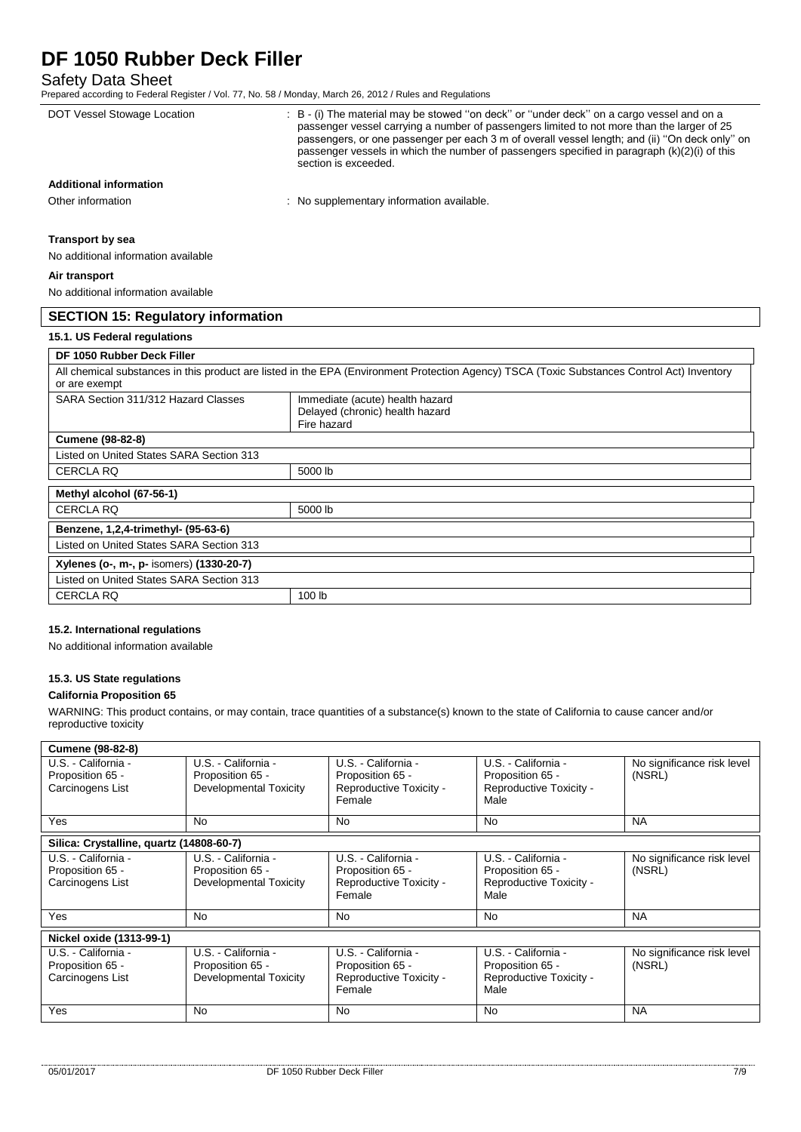# Safety Data Sheet

 $\overline{\phantom{a}}$ 

Prepared according to Federal Register / Vol. 77, No. 58 / Monday, March 26, 2012 / Rules and Regulations

| DOT Vessel Stowage Location               | : B - (i) The material may be stowed "on deck" or "under deck" on a cargo vessel and on a<br>passenger vessel carrying a number of passengers limited to not more than the larger of 25<br>passengers, or one passenger per each 3 m of overall vessel length; and (ii) "On deck only" on<br>passenger vessels in which the number of passengers specified in paragraph (k)(2)(i) of this<br>section is exceeded. |  |
|-------------------------------------------|-------------------------------------------------------------------------------------------------------------------------------------------------------------------------------------------------------------------------------------------------------------------------------------------------------------------------------------------------------------------------------------------------------------------|--|
| <b>Additional information</b>             |                                                                                                                                                                                                                                                                                                                                                                                                                   |  |
| Other information                         | : No supplementary information available.                                                                                                                                                                                                                                                                                                                                                                         |  |
| <b>Transport by sea</b>                   |                                                                                                                                                                                                                                                                                                                                                                                                                   |  |
| No additional information available       |                                                                                                                                                                                                                                                                                                                                                                                                                   |  |
| Air transport                             |                                                                                                                                                                                                                                                                                                                                                                                                                   |  |
| No additional information available       |                                                                                                                                                                                                                                                                                                                                                                                                                   |  |
| <b>SECTION 15: Regulatory information</b> |                                                                                                                                                                                                                                                                                                                                                                                                                   |  |
| 15.1. US Federal regulations              |                                                                                                                                                                                                                                                                                                                                                                                                                   |  |
| DF 1050 Rubber Deck Filler                |                                                                                                                                                                                                                                                                                                                                                                                                                   |  |
| or are exempt                             | All chemical substances in this product are listed in the EPA (Environment Protection Agency) TSCA (Toxic Substances Control Act) Inventory                                                                                                                                                                                                                                                                       |  |
| SARA Section 311/312 Hazard Classes       | Immediate (acute) health hazard<br>Delayed (chronic) health hazard<br>Fire hazard                                                                                                                                                                                                                                                                                                                                 |  |
| <b>Cumene (98-82-8)</b>                   |                                                                                                                                                                                                                                                                                                                                                                                                                   |  |
| Listed on United States SARA Section 313  |                                                                                                                                                                                                                                                                                                                                                                                                                   |  |
| <b>CERCLA RQ</b>                          | 5000 lb                                                                                                                                                                                                                                                                                                                                                                                                           |  |
| Methyl alcohol (67-56-1)                  |                                                                                                                                                                                                                                                                                                                                                                                                                   |  |
| <b>CERCLA RQ</b>                          | 5000 lb                                                                                                                                                                                                                                                                                                                                                                                                           |  |
| Benzene, 1,2,4-trimethyl- (95-63-6)       |                                                                                                                                                                                                                                                                                                                                                                                                                   |  |
| Listed on United States SARA Section 313  |                                                                                                                                                                                                                                                                                                                                                                                                                   |  |
| Xylenes (o-, m-, p- isomers) (1330-20-7)  |                                                                                                                                                                                                                                                                                                                                                                                                                   |  |
| Listed on United States SARA Section 313  |                                                                                                                                                                                                                                                                                                                                                                                                                   |  |
| <b>CERCLA RQ</b>                          | 100 lb                                                                                                                                                                                                                                                                                                                                                                                                            |  |

### **15.2. International regulations**

No additional information available

# **15.3. US State regulations**

#### **California Proposition 65**

WARNING: This product contains, or may contain, trace quantities of a substance(s) known to the state of California to cause cancer and/or reproductive toxicity

| <b>Cumene (98-82-8)</b>                                     |                                                                   |                                                                              |                                                                            |                                      |  |  |
|-------------------------------------------------------------|-------------------------------------------------------------------|------------------------------------------------------------------------------|----------------------------------------------------------------------------|--------------------------------------|--|--|
| U.S. - California -<br>Proposition 65 -<br>Carcinogens List | U.S. - California -<br>Proposition 65 -<br>Developmental Toxicity | U.S. - California -<br>Proposition 65 -<br>Reproductive Toxicity -<br>Female | U.S. - California -<br>Proposition 65 -<br>Reproductive Toxicity -<br>Male | No significance risk level<br>(NSRL) |  |  |
| <b>Yes</b>                                                  | No                                                                | <b>No</b>                                                                    | <b>No</b>                                                                  | <b>NA</b>                            |  |  |
| Silica: Crystalline, quartz (14808-60-7)                    |                                                                   |                                                                              |                                                                            |                                      |  |  |
| U.S. - California -<br>Proposition 65 -<br>Carcinogens List | U.S. - California -<br>Proposition 65 -<br>Developmental Toxicity | U.S. - California -<br>Proposition 65 -<br>Reproductive Toxicity -<br>Female | U.S. - California -<br>Proposition 65 -<br>Reproductive Toxicity -<br>Male | No significance risk level<br>(NSRL) |  |  |
| Yes                                                         | No                                                                | <b>No</b>                                                                    | <b>No</b>                                                                  | <b>NA</b>                            |  |  |
| Nickel oxide (1313-99-1)                                    |                                                                   |                                                                              |                                                                            |                                      |  |  |
| U.S. - California -<br>Proposition 65 -<br>Carcinogens List | U.S. - California -<br>Proposition 65 -<br>Developmental Toxicity | U.S. - California -<br>Proposition 65 -<br>Reproductive Toxicity -<br>Female | U.S. - California -<br>Proposition 65 -<br>Reproductive Toxicity -<br>Male | No significance risk level<br>(NSRL) |  |  |
| Yes                                                         | No.                                                               | <b>No</b>                                                                    | <b>No</b>                                                                  | <b>NA</b>                            |  |  |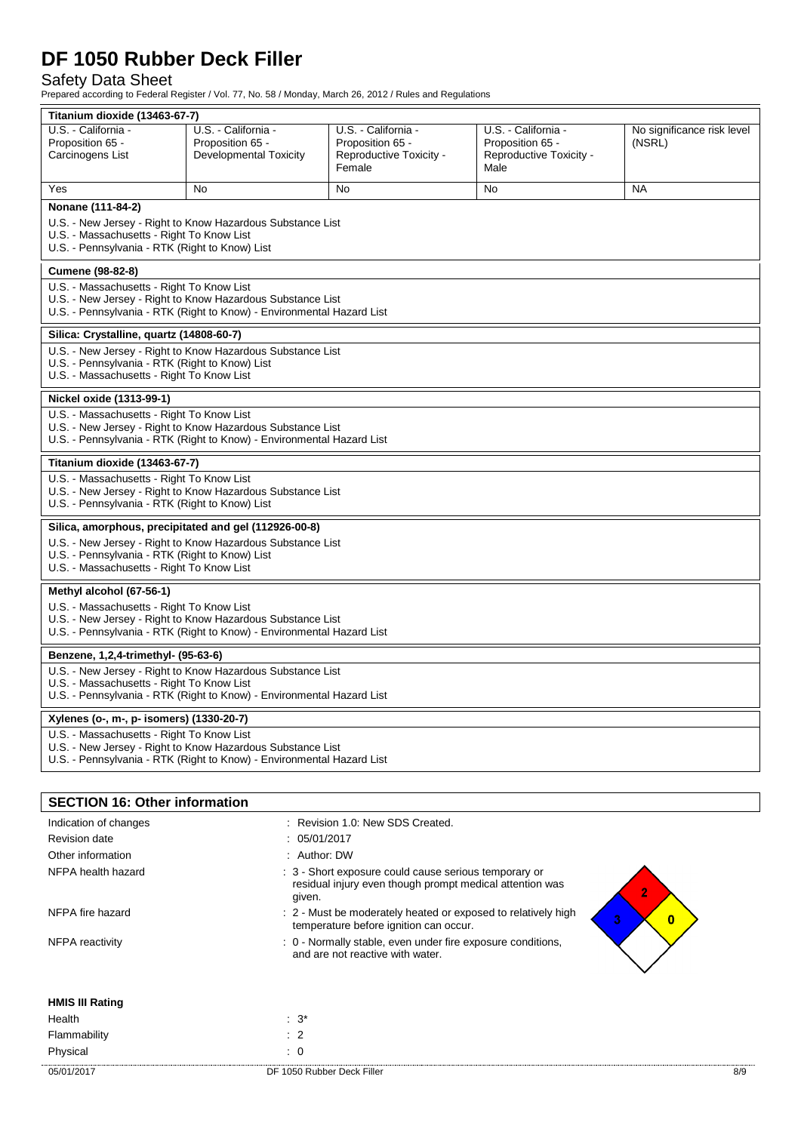# Safety Data Sheet

Prepared according to Federal Register / Vol. 77, No. 58 / Monday, March 26, 2012 / Rules and Regulations

| Titanium dioxide (13463-67-7)                                                                                                       |                                                                       |                                  |                         |                            |  |  |  |  |
|-------------------------------------------------------------------------------------------------------------------------------------|-----------------------------------------------------------------------|----------------------------------|-------------------------|----------------------------|--|--|--|--|
| U.S. - California -                                                                                                                 | U.S. - California -                                                   | U.S. - California -              | U.S. - California -     | No significance risk level |  |  |  |  |
| Proposition 65 -                                                                                                                    | Proposition 65 -                                                      | Proposition 65 -                 | Proposition 65 -        | (NSRL)                     |  |  |  |  |
| Carcinogens List                                                                                                                    | <b>Developmental Toxicity</b>                                         | Reproductive Toxicity -          | Reproductive Toxicity - |                            |  |  |  |  |
|                                                                                                                                     |                                                                       | Female                           | Male                    |                            |  |  |  |  |
| Yes                                                                                                                                 | No                                                                    | No                               | No                      | <b>NA</b>                  |  |  |  |  |
| Nonane (111-84-2)                                                                                                                   |                                                                       |                                  |                         |                            |  |  |  |  |
| U.S. - New Jersey - Right to Know Hazardous Substance List                                                                          |                                                                       |                                  |                         |                            |  |  |  |  |
| U.S. - Massachusetts - Right To Know List                                                                                           |                                                                       |                                  |                         |                            |  |  |  |  |
| U.S. - Pennsylvania - RTK (Right to Know) List                                                                                      |                                                                       |                                  |                         |                            |  |  |  |  |
| Cumene (98-82-8)                                                                                                                    |                                                                       |                                  |                         |                            |  |  |  |  |
| U.S. - Massachusetts - Right To Know List                                                                                           |                                                                       |                                  |                         |                            |  |  |  |  |
|                                                                                                                                     | U.S. - New Jersey - Right to Know Hazardous Substance List            |                                  |                         |                            |  |  |  |  |
|                                                                                                                                     | U.S. - Pennsylvania - RTK (Right to Know) - Environmental Hazard List |                                  |                         |                            |  |  |  |  |
| Silica: Crystalline, quartz (14808-60-7)                                                                                            |                                                                       |                                  |                         |                            |  |  |  |  |
| U.S. - New Jersey - Right to Know Hazardous Substance List                                                                          |                                                                       |                                  |                         |                            |  |  |  |  |
| U.S. - Pennsylvania - RTK (Right to Know) List                                                                                      |                                                                       |                                  |                         |                            |  |  |  |  |
| U.S. - Massachusetts - Right To Know List                                                                                           |                                                                       |                                  |                         |                            |  |  |  |  |
| Nickel oxide (1313-99-1)                                                                                                            |                                                                       |                                  |                         |                            |  |  |  |  |
| U.S. - Massachusetts - Right To Know List                                                                                           |                                                                       |                                  |                         |                            |  |  |  |  |
|                                                                                                                                     | U.S. - New Jersey - Right to Know Hazardous Substance List            |                                  |                         |                            |  |  |  |  |
|                                                                                                                                     | U.S. - Pennsylvania - RTK (Right to Know) - Environmental Hazard List |                                  |                         |                            |  |  |  |  |
| Titanium dioxide (13463-67-7)                                                                                                       |                                                                       |                                  |                         |                            |  |  |  |  |
| U.S. - Massachusetts - Right To Know List                                                                                           |                                                                       |                                  |                         |                            |  |  |  |  |
|                                                                                                                                     | U.S. - New Jersey - Right to Know Hazardous Substance List            |                                  |                         |                            |  |  |  |  |
| U.S. - Pennsylvania - RTK (Right to Know) List                                                                                      |                                                                       |                                  |                         |                            |  |  |  |  |
| Silica, amorphous, precipitated and gel (112926-00-8)                                                                               |                                                                       |                                  |                         |                            |  |  |  |  |
| U.S. - New Jersey - Right to Know Hazardous Substance List                                                                          |                                                                       |                                  |                         |                            |  |  |  |  |
| U.S. - Pennsylvania - RTK (Right to Know) List                                                                                      |                                                                       |                                  |                         |                            |  |  |  |  |
| U.S. - Massachusetts - Right To Know List                                                                                           |                                                                       |                                  |                         |                            |  |  |  |  |
| Methyl alcohol (67-56-1)                                                                                                            |                                                                       |                                  |                         |                            |  |  |  |  |
| U.S. - Massachusetts - Right To Know List                                                                                           |                                                                       |                                  |                         |                            |  |  |  |  |
| U.S. - New Jersey - Right to Know Hazardous Substance List<br>U.S. - Pennsylvania - RTK (Right to Know) - Environmental Hazard List |                                                                       |                                  |                         |                            |  |  |  |  |
|                                                                                                                                     |                                                                       |                                  |                         |                            |  |  |  |  |
| Benzene, 1,2,4-trimethyl- (95-63-6)                                                                                                 |                                                                       |                                  |                         |                            |  |  |  |  |
| U.S. - New Jersey - Right to Know Hazardous Substance List                                                                          |                                                                       |                                  |                         |                            |  |  |  |  |
| U.S. - Massachusetts - Right To Know List<br>U.S. - Pennsylvania - RTK (Right to Know) - Environmental Hazard List                  |                                                                       |                                  |                         |                            |  |  |  |  |
|                                                                                                                                     |                                                                       |                                  |                         |                            |  |  |  |  |
| Xylenes (o-, m-, p- isomers) (1330-20-7)                                                                                            |                                                                       |                                  |                         |                            |  |  |  |  |
| U.S. - Massachusetts - Right To Know List                                                                                           |                                                                       |                                  |                         |                            |  |  |  |  |
| U.S. - New Jersey - Right to Know Hazardous Substance List<br>U.S. - Pennsylvania - RTK (Right to Know) - Environmental Hazard List |                                                                       |                                  |                         |                            |  |  |  |  |
|                                                                                                                                     |                                                                       |                                  |                         |                            |  |  |  |  |
|                                                                                                                                     |                                                                       |                                  |                         |                            |  |  |  |  |
| <b>SECTION 16: Other information</b>                                                                                                |                                                                       |                                  |                         |                            |  |  |  |  |
| Indication of changes                                                                                                               |                                                                       | : Revision 1.0: New SDS Created. |                         |                            |  |  |  |  |
| <b>Revision date</b><br>: 05/01/2017                                                                                                |                                                                       |                                  |                         |                            |  |  |  |  |
| Other information<br>: Author: DW                                                                                                   |                                                                       |                                  |                         |                            |  |  |  |  |
| NFPA health hazard<br>: 3 - Short exposure could cause serious temporary or                                                         |                                                                       |                                  |                         |                            |  |  |  |  |

residual injury even though prompt medical attention was

temperature before ignition can occur.

and are not reactive with water.

**HMIS III Rating**

Health : 3<sup>\*</sup> Flammability : 2 Physical : 0

given. NFPA fire hazard **in the state of the state of the moderately heated or exposed to relatively high** 

NFPA reactivity **Stable** : 0 - Normally stable, even under fire exposure conditions,

 $\overline{2}$ 

 $\overline{\mathbf{3}}$ 

 $\bullet$